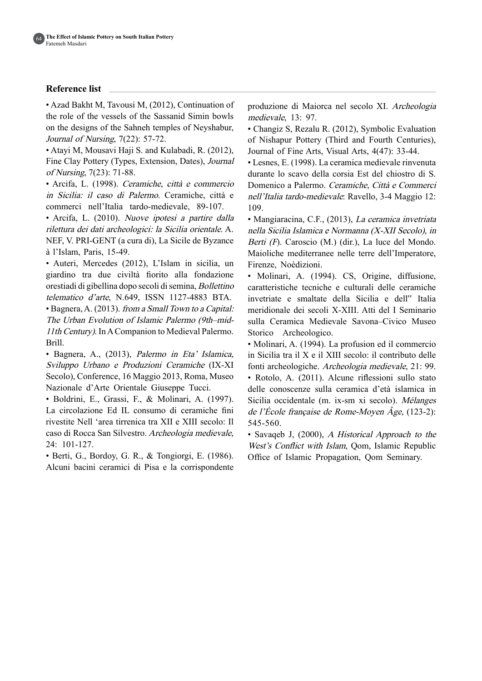## **Reference** list

• Azad Bakht M, Tavousi M, (2012), Continuation of the role of the vessels of the Sassanid Simin bowls on the designs of the Sahneh temples of Neyshabur, Journal of Nursing,  $7(22)$ : 57-72.

• Atayi M, Mousavi Haji S. and Kulabadi, R. (2012), Fine Clay Pottery (Types, Extension, Dates), Journal of Nursing,  $7(23)$ :  $71-88$ .

· Arcifa, L. (1998). Ceramiche, città e commercio in Sicilia: il caso di Palermo. Ceramiche, città e commerci nell'Italia tardo-medievale, 89-107.

• Arcifa, L. (2010). Nuove ipotesi a partire dalla rilettura dei dati archeologici: la Sicilia orientale. A. NEF, V. PRI-GENT (a cura di), La Sicile de Byzance à l'Islam, Paris, 15-49.

· Auteri, Mercedes (2012), L'Islam in sicilia, un giardino tra due civiltà fiorito alla fondazione orestiadi di gibellina dopo secoli di semina, Bollettino telematico d'arte, N.649, ISSN 1127-4883 BTA.

• Bagnera, A. (2013). from a Small Town to a Capital: The Urban Evolution of Islamic Palermo (9th–mid-<br>11th Century). In A Companion to Medieval Palermo. .Brill

• Bagnera, A., (2013), Palermo in Eta' Islamica, Sviluppo Urbano e Produzioni Ceramiche (IX-XI Secolo), Conference, 16 Maggio 2013, Roma, Museo Nazionale d'Arte Orientale Giuseppe Tucci.

 $\bullet$  Boldrini, E., Grassi, F., & Molinari, A. (1997). La circolazione Ed IL consumo di ceramiche fini rivestite Nell 'area tirrenica tra XII e XIII secolo: Il caso di Rocca San Silvestro. Archeologia medievale, 101-127. 24:

 $\bullet$  Berti, G., Bordoy, G. R., & Tongiorgi, E. (1986). Alcuni bacini ceramici di Pisa e la corrispondente

produzione di Maiorca nel secolo XI. Archeologia medievale, 13: 97.

• Changiz S, Rezalu R. (2012), Symbolic Evaluation of Nishapur Pottery (Third and Fourth Centuries), Journal of Fine Arts, Visual Arts,  $4(47)$ : 33-44.

• Lesnes, E. (1998). La ceramica medievale rinvenuta durante lo scavo della corsia Est del chiostro di S. Domenico a Palermo. Ceramiche, Città e Commerci nell'Italia tardo-medievale: Ravello, 3-4 Maggio 12: 109.

• Mangiaracina, C.F., (2013), La ceramica invetriata nella Sicilia Islamica e Normanna (X-XII Secolo), in Berti  $(F)$ . Caroscio  $(M.)$  (dir.), La luce del Mondo. Maioliche mediterranee nelle terre dell'Imperatore, Firenze, Noèdizioni.

• Molinari, A. (1994). CS, Origine, diffusione, caratteristiche tecniche e culturali delle ceramiche invetriate e smaltate della Sicilia e dell" Italia meridionale dei secoli X-XIII. Atti del I Seminario sulla Ceramica Medievale Savona-Civico Museo Storico Archeologico.

• Molinari, A. (1994). La profusion ed il commercio in Sicilia tra il  $X$  e il XIII secolo: il contributo delle fonti archeologiche. Archeologia medievale, 21: 99. • Rotolo, A. (2011). Alcune riflessioni sullo stato delle conoscenze sulla ceramica d'età islamica in Sicilia occidentale (m. ix-sm xi secolo). Mélanges de l'École française de Rome-Moyen  $\angle$  Age, (123-2): 545-560.

• Savaqeb J,  $(2000)$ , A Historical Approach to the West's Conflict with Islam, Qom, Islamic Republic Office of Islamic Propagation, Qom Seminary.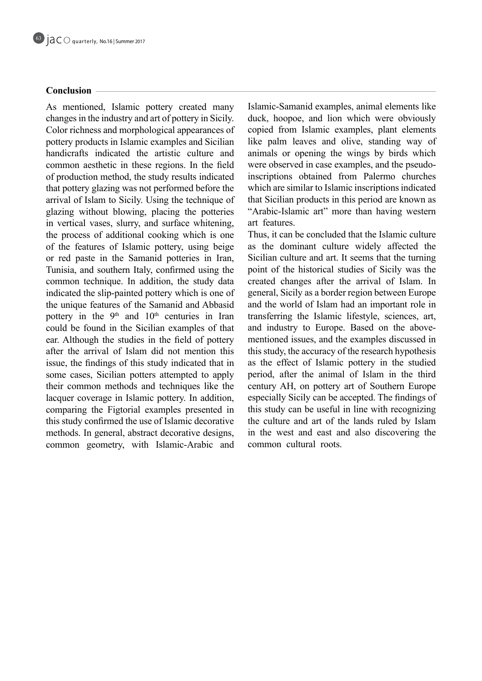# **Conclusion**

As mentioned, Islamic pottery created many changes in the industry and art of pottery in Sicily. Color richness and morphological appearances of pottery products in Islamic examples and Sicilian handicrafts indicated the artistic culture and common aesthetic in these regions. In the field of production method, the study results indicated that pottery glazing was not performed before the arrival of Islam to Sicily. Using the technique of glazing without blowing, placing the potteries in vertical vases, slurry, and surface whitening, the process of additional cooking which is one of the features of Islamic pottery, using beige or red paste in the Samanid potteries in Iran, Tunisia, and southern Italy, confirmed using the common technique. In addition, the study data indicated the slip-painted pottery which is one of the unique features of the Samanid and Abbasid pottery in the  $9<sup>th</sup>$  and  $10<sup>th</sup>$  centuries in Iran could be found in the Sicilian examples of that ear. Although the studies in the field of pottery after the arrival of Islam did not mention this issue, the findings of this study indicated that in some cases, Sicilian potters attempted to apply their common methods and techniques like the lacquer coverage in Islamic pottery. In addition, comparing the Figtorial examples presented in this study confirmed the use of Islamic decorative methods. In general, abstract decorative designs, common geometry, with Islamic-Arabic and

Islamic-Samanid examples, animal elements like duck, hoopoe, and lion which were obviously copied from Islamic examples, plant elements like palm leaves and olive, standing way of animals or opening the wings by birds which inscriptions obtained from Palermo churches were observed in case examples, and the pseudowhich are similar to Islamic inscriptions indicated that Sicilian products in this period are known as "Arabic-Islamic art" more than having western art features.

Thus, it can be concluded that the Islamic culture as the dominant culture widely affected the Sicilian culture and art. It seems that the turning point of the historical studies of Sicily was the created changes after the arrival of Islam. In general, Sicily as a border region between Europe and the world of Islam had an important role in transferring the Islamic lifestyle, sciences, art, mentioned issues, and the examples discussed in and industry to Europe. Based on the abovethis study, the accuracy of the research hypothesis as the effect of Islamic pottery in the studied period, after the animal of Islam in the third century AH, on pottery art of Southern Europe especially Sicily can be accepted. The findings of this study can be useful in line with recognizing the culture and art of the lands ruled by Islam in the west and east and also discovering the common cultural roots.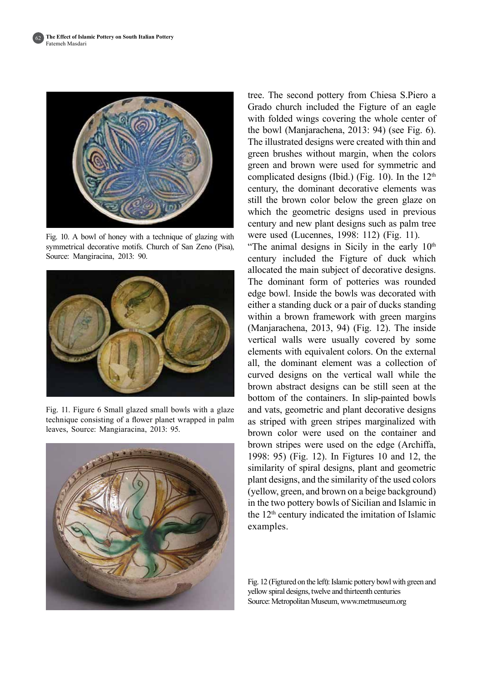

Fig. 10. A bowl of honey with a technique of glazing with symmetrical decorative motifs. Church of San Zeno (Pisa). Source: Mangiracina, 2013: 90.



Fig. 11. Figure 6 Small glazed small bowls with a glaze technique consisting of a flower planet wrapped in palm leaves, Source: Mangiaracina, 2013: 95.



tree. The second pottery from Chiesa S.Piero a Grado church included the Figture of an eagle with folded wings covering the whole center of the bowl (Manjarachena, 2013: 94) (see Fig.  $6$ ). The illustrated designs were created with thin and green brushes without margin, when the colors green and brown were used for symmetric and complicated designs (Ibid.) (Fig. 10). In the  $12<sup>th</sup>$ century, the dominant decorative elements was still the brown color below the green glaze on which the geometric designs used in previous century and new plant designs such as palm tree were used (Lucennes, 1998: 112) (Fig. 11).

"The animal designs in Sicily in the early  $10<sup>th</sup>$ century included the Figture of duck which allocated the main subject of decorative designs. The dominant form of potteries was rounded edge bowl. Inside the bowls was decorated with either a standing duck or a pair of ducks standing within a brown framework with green margins  $(Manjarachena, 2013, 94)$  (Fig. 12). The inside vertical walls were usually covered by some elements with equivalent colors. On the external all, the dominant element was a collection of curved designs on the vertical wall while the brown abstract designs can be still seen at the bottom of the containers. In slip-painted bowls and vats, geometric and plant decorative designs as striped with green stripes marginalized with brown color were used on the container and brown stripes were used on the edge (Archiffa, 1998: 95) (Fig. 12). In Figtures 10 and 12, the similarity of spiral designs, plant and geometric plant designs, and the similarity of the used colors (yellow, green, and brown on a beige background) in the two pottery bowls of Sicilian and Islamic in the  $12<sup>th</sup>$  century indicated the imitation of Islamic examples.

Fig. 12 (Figtured on the left): Islamic pottery bowl with green and yellow spiral designs, twelve and thirteenth centuries Source: Metropolitan Museum, www.metmuseum.org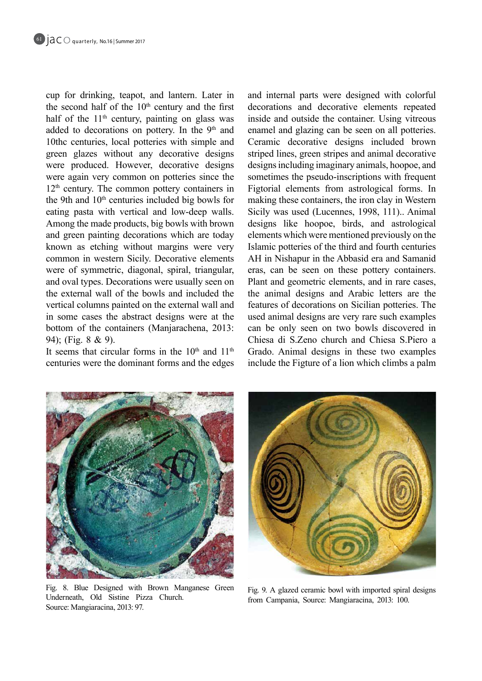cup for drinking, teapot, and lantern. Later in the second half of the  $10<sup>th</sup>$  century and the first half of the  $11<sup>th</sup>$  century, painting on glass was added to decorations on pottery. In the  $9<sup>th</sup>$  and 10the centuries, local potteries with simple and green glazes without any decorative designs were produced. However, decorative designs were again very common on potteries since the  $12<sup>th</sup>$  century. The common pottery containers in the 9th and  $10<sup>th</sup>$  centuries included big bowls for eating pasta with vertical and low-deep walls. Among the made products, big bowls with brown and green painting decorations which are today known as etching without margins were very common in western Sicily. Decorative elements were of symmetric, diagonal, spiral, triangular, and oval types. Decorations were usually seen on the external wall of the bowls and included the vertical columns painted on the external wall and in some cases the abstract designs were at the bottom of the containers (Manjarachena, 2013: 94); (Fig.  $8 \& 9$ ).

It seems that circular forms in the  $10<sup>th</sup>$  and  $11<sup>th</sup>$ centuries were the dominant forms and the edges and internal parts were designed with colorful decorations and decorative elements repeated inside and outside the container. Using vitreous enamel and glazing can be seen on all potteries. Ceramic decorative designs included brown striped lines, green stripes and animal decorative designs including imaginary animals, hoopoe, and sometimes the pseudo-inscriptions with frequent Figtorial elements from astrological forms. In making these containers, the iron clay in Western Sicily was used (Lucennes, 1998, 111).. Animal designs like hoopoe, birds, and astrological elements which were mentioned previously on the Islamic potteries of the third and fourth centuries AH in Nishapur in the Abbasid era and Samanid eras, can be seen on these pottery containers. Plant and geometric elements, and in rare cases, the animal designs and Arabic letters are the features of decorations on Sicilian potteries. The used animal designs are very rare such examples can be only seen on two bowls discovered in Chiesa di S.Zeno church and Chiesa S.Piero a Grado. Animal designs in these two examples include the Figture of a lion which climbs a palm



Fig. 8. Blue Designed with Brown Manganese Green Underneath, Old Sistine Pizza Church. Source: Mangiaracina, 2013: 97.



Fig. 9. A glazed ceramic bowl with imported spiral designs from Campania, Source: Mangiaracina, 2013: 100.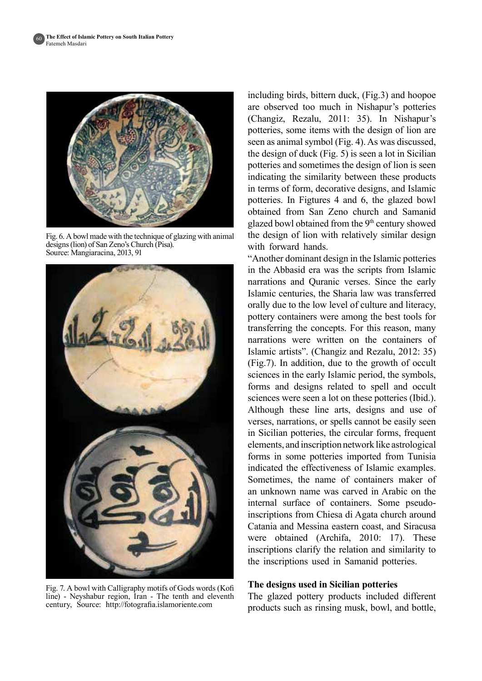

Fig. 6. A bowl made with the technique of glazing with animal  $designs (lion)$  of San Zeno's Church (Pisa). Source: Mangiaracina, 2013, 91



Fig. 7. A bowl with Calligraphy motifs of Gods words (Kofi line) - Neyshabur region, Iran - The tenth and eleventh century, Source: http://fotografia.islamoriente.com

including birds, bittern duck,  $(Fig. 3)$  and hoopoe are observed too much in Nishapur's potteries (Changiz, Rezalu, 2011: 35). In Nishapur's potteries, some items with the design of lion are seen as animal symbol (Fig. 4). As was discussed, the design of duck (Fig.  $5$ ) is seen a lot in Sicilian potteries and sometimes the design of lion is seen indicating the similarity between these products in terms of form, decorative designs, and Islamic potteries. In Figtures 4 and 6, the glazed bowl obtained from San Zeno church and Samanid glazed bowl obtained from the 9<sup>th</sup> century showed the design of lion with relatively similar design with forward hands.

"Another dominant design in the Islamic potteries" in the Abbasid era was the scripts from Islamic narrations and Quranic verses. Since the early Islamic centuries, the Sharia law was transferred orally due to the low level of culture and literacy, pottery containers were among the best tools for transferring the concepts. For this reason, many narrations were written on the containers of Islamic artists". (Changiz and Rezalu,  $2012: 35$ )  $(Fig.7)$ . In addition, due to the growth of occult sciences in the early Islamic period, the symbols, forms and designs related to spell and occult sciences were seen a lot on these potteries (Ibid.). Although these line arts, designs and use of verses, narrations, or spells cannot be easily seen in Sicilian potteries, the circular forms, frequent elements, and inscription network like astrological forms in some potteries imported from Tunisia indicated the effectiveness of Islamic examples. Sometimes, the name of containers maker of an unknown name was carved in Arabic on the inscriptions from Chiesa di Agata church around internal surface of containers. Some pseudo-Catania and Messina eastern coast, and Siracusa were obtained  $(Archifa, 2010; 17)$ . These inscriptions clarify the relation and similarity to the inscriptions used in Samanid potteries.

### **The designs used in Sicilian potteries**

The glazed pottery products included different products such as rinsing musk, bowl, and bottle,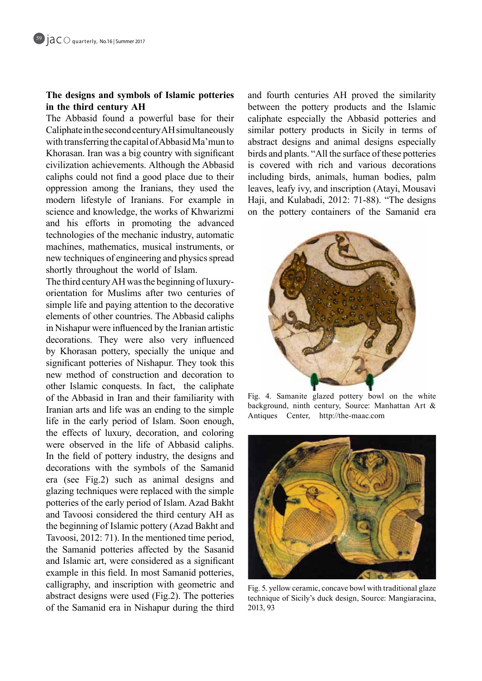# The designs and symbols of Islamic potteries in the third century AH

The Abbasid found a powerful base for their Caliphate in the second century AH simultaneously with transferring the capital of Abbasid Ma'mun to Khorasan. Iran was a big country with significant civilization achievements. Although the Abbasid caliphs could not find a good place due to their oppression among the Iranians, they used the modern lifestyle of Iranians. For example in science and knowledge, the works of Khwarizmi and his efforts in promoting the advanced technologies of the mechanic industry, automatic machines, mathematics, musical instruments, or new techniques of engineering and physics spread shortly throughout the world of Islam.

orientation for Muslims after two centuries of The third century AH was the beginning of luxurysimple life and paying attention to the decorative elements of other countries. The Abbasid caliphs in Nishapur were influenced by the Iranian artistic decorations. They were also very influenced by Khorasan pottery, specially the unique and significant potteries of Nishapur. They took this new method of construction and decoration to other Islamic conquests. In fact, the caliphate of the Abbasid in Iran and their familiarity with Iranian arts and life was an ending to the simple life in the early period of Islam. Soon enough, the effects of luxury, decoration, and coloring were observed in the life of Abbasid caliphs. In the field of pottery industry, the designs and decorations with the symbols of the Samanid era (see Fig.2) such as animal designs and glazing techniques were replaced with the simple potteries of the early period of Islam. Azad Bakht and Tavoosi considered the third century AH as the beginning of Islamic pottery (Azad Bakht and Tavoosi,  $2012: 71$ ). In the mentioned time period, the Samanid potteries affected by the Sasanid and Islamic art, were considered as a significant example in this field. In most Samanid potteries, calligraphy, and inscription with geometric and abstract designs were used  $(Fig.2)$ . The potteries of the Samanid era in Nishapur during the third

and fourth centuries AH proved the similarity between the pottery products and the Islamic caliphate especially the Abbasid potteries and similar pottery products in Sicily in terms of abstract designs and animal designs especially birds and plants. "All the surface of these potteries is covered with rich and various decorations including birds, animals, human bodies, palm leaves, leafy ivy, and inscription (Atayi, Mousavi Haji, and Kulabadi, 2012: 71-88). "The designs on the pottery containers of the Samanid era



Fig. 4. Samanite glazed pottery bowl on the white background, ninth century, Source: Manhattan Art  $\&$ Antiques Center, http://the-maac.com



Fig. 5. yellow ceramic, concave bowl with traditional glaze technique of Sicily's duck design, Source: Mangiaracina, 2013, 93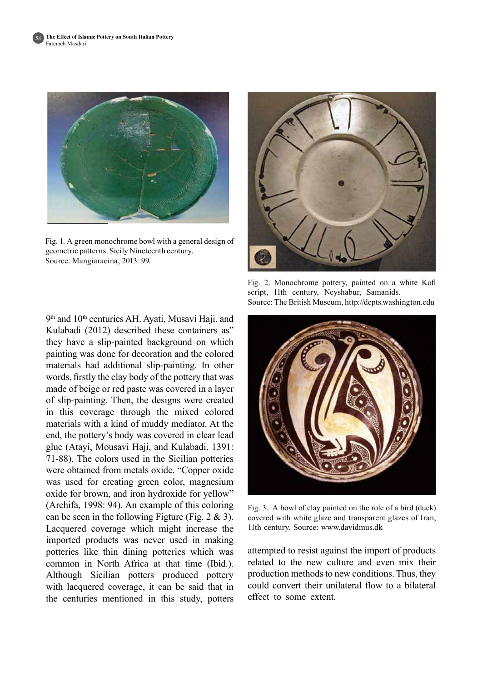

Fig. 1. A green monochrome bowl with a general design of geometric patterns. Sicily Nineteenth century. Source: Mangiaracina, 2013: 99.



Fig. 2. Monochrome pottery, painted on a white Kofi script, 11th century, Neyshabur, Samanids. Source: The British Museum, http://depts.washington.edu

9<sup>th</sup> and 10<sup>th</sup> centuries AH. Ayati, Musavi Haji, and Kulabadi (2012) described these containers as" they have a slip-painted background on which painting was done for decoration and the colored materials had additional slip-painting. In other words, firstly the clay body of the pottery that was made of beige or red paste was covered in a layer of slip-painting. Then, the designs were created in this coverage through the mixed colored materials with a kind of muddy mediator. At the end, the pottery's body was covered in clear lead glue (Atavi, Mousavi Haji, and Kulabadi, 1391;  $71-88$ ). The colors used in the Sicilian potteries were obtained from metals oxide. "Copper oxide was used for creating green color, magnesium oxide for brown, and iron hydroxide for yellow"  $(Archifa, 1998: 94)$ . An example of this coloring can be seen in the following Figture (Fig.  $2 \& 3$ ). Lacquered coverage which might increase the imported products was never used in making potteries like thin dining potteries which was common in North Africa at that time (Ibid.). Although Sicilian potters produced pottery with lacquered coverage, it can be said that in the centuries mentioned in this study, potters



Fig. 3. A bowl of clay painted on the role of a bird (duck) covered with white glaze and transparent glazes of Iran, 11th century, Source: www.davidmus.dk

attempted to resist against the import of products related to the new culture and even mix their production methods to new conditions. Thus, they could convert their unilateral flow to a bilateral effect to some extent.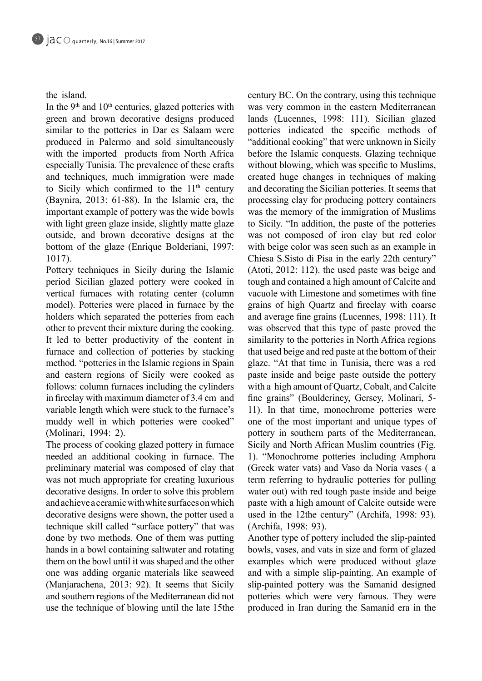# the island

In the  $9<sup>th</sup>$  and  $10<sup>th</sup>$  centuries, glazed potteries with green and brown decorative designs produced similar to the potteries in Dar es Salaam were produced in Palermo and sold simultaneously with the imported products from North Africa especially Tunisia. The prevalence of these crafts and techniques, much immigration were made to Sicily which confirmed to the  $11<sup>th</sup>$  century (Baynira, 2013: 61-88). In the Islamic era, the important example of pottery was the wide bowls with light green glaze inside, slightly matte glaze outside, and brown decorative designs at the bottom of the glaze (Enrique Bolderiani, 1997: 1017).

Pottery techniques in Sicily during the Islamic period Sicilian glazed pottery were cooked in vertical furnaces with rotating center (column model). Potteries were placed in furnace by the holders which separated the potteries from each other to prevent their mixture during the cooking. It led to better productivity of the content in furnace and collection of potteries by stacking method. "potteries in the Islamic regions in Spain and eastern regions of Sicily were cooked as follows: column furnaces including the cylinders in fireclay with maximum diameter of  $3.4$  cm and variable length which were stuck to the furnace's muddy well in which potteries were cooked" (Molinari, 1994: 2).

The process of cooking glazed pottery in furnace needed an additional cooking in furnace. The preliminary material was composed of clay that was not much appropriate for creating luxurious decorative designs. In order to solve this problem and achieve a ceramic with white surfaces on which decorative designs were shown, the potter used a technique skill called "surface pottery" that was done by two methods. One of them was putting hands in a bowl containing saltwater and rotating them on the bowl until it was shaped and the other one was adding organic materials like seaweed (Manjarachena, 2013: 92). It seems that Sicily and southern regions of the Mediterranean did not use the technique of blowing until the late 15 the century BC. On the contrary, using this technique was very common in the eastern Mediterranean lands (Lucennes, 1998: 111). Sicilian glazed potteries indicated the specific methods of "additional cooking" that were unknown in Sicily before the Islamic conquests. Glazing technique without blowing, which was specific to Muslims, created huge changes in techniques of making and decorating the Sicilian potteries. It seems that processing clay for producing pottery containers was the memory of the immigration of Muslims to Sicily. "In addition, the paste of the potteries was not composed of iron clay but red color with beige color was seen such as an example in Chiesa S. Sisto di Pisa in the early 22th century" (Atoti, 2012: 112), the used paste was beige and tough and contained a high amount of Calcite and vacuole with Limestone and sometimes with fine grains of high Quartz and fireclay with coarse and average fine grains (Lucennes, 1998: 111). It was observed that this type of paste proved the similarity to the potteries in North Africa regions that used beige and red paste at the bottom of their glaze. "At that time in Tunisia, there was a red paste inside and beige paste outside the pottery with a high amount of Quartz, Cobalt, and Calcite fine grains" (Boulderiney, Gersey, Molinari, 5-11). In that time, monochrome potteries were one of the most important and unique types of pottery in southern parts of the Mediterranean, Sicily and North African Muslim countries (Fig. 1). "Monochrome potteries including Amphora (Greek water vats) and Vaso da Noria vases (a term referring to hydraulic potteries for pulling water out) with red tough paste inside and beige paste with a high amount of Calcite outside were used in the 12the century" (Archifa, 1998: 93). (Archifa, 1998: 93).

Another type of pottery included the slip-painted bowls, vases, and vats in size and form of glazed examples which were produced without glaze and with a simple slip-painting. An example of slip-painted pottery was the Samanid designed potteries which were very famous. They were produced in Iran during the Samanid era in the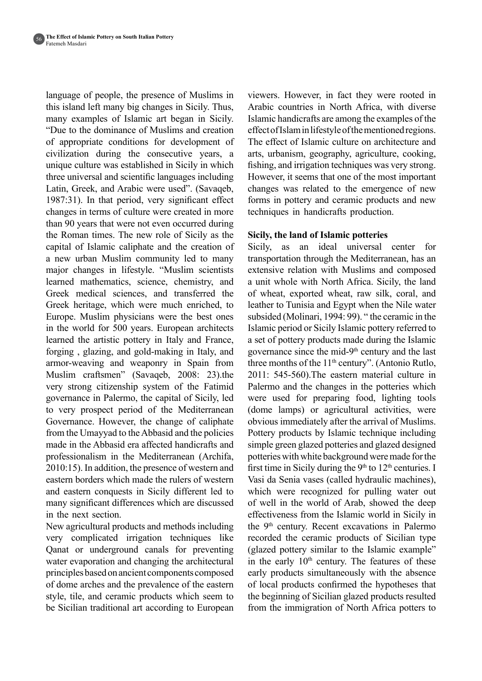language of people, the presence of Muslims in this island left many big changes in Sicily. Thus, many examples of Islamic art began in Sicily. "Due to the dominance of Muslims and creation of appropriate conditions for development of civilization during the consecutive years, a unique culture was established in Sicily in which three universal and scientific languages including Latin, Greek, and Arabic were used". (Savaqeb, 1987:31). In that period, very significant effect changes in terms of culture were created in more than 90 years that were not even occurred during the Roman times. The new role of Sicily as the capital of Islamic caliphate and the creation of a new urban Muslim community led to many major changes in lifestyle. "Muslim scientists learned mathematics, science, chemistry, and Greek medical sciences, and transferred the Greek heritage, which were much enriched, to Europe. Muslim physicians were the best ones in the world for 500 years. European architects learned the artistic pottery in Italy and France, forging, glazing, and gold-making in Italy, and armor-weaving and weaponry in Spain from Muslim craftsmen" (Savaqeb, 2008: 23).the very strong citizenship system of the Fatimid governance in Palermo, the capital of Sicily, led to very prospect period of the Mediterranean Governance. However, the change of caliphate from the Umayyad to the Abbasid and the policies made in the Abbasid era affected handicrafts and professionalism in the Mediterranean (Archifa,  $2010:15$ ). In addition, the presence of western and eastern borders which made the rulers of western and eastern conquests in Sicily different led to many significant differences which are discussed in the next section.

New agricultural products and methods including very complicated irrigation techniques like Qanat or underground canals for preventing water evaporation and changing the architectural principles based on ancient components composed of dome arches and the prevalence of the eastern style, tile, and ceramic products which seem to be Sicilian traditional art according to European

viewers. However, in fact they were rooted in Arabic countries in North Africa, with diverse Islamic handicrafts are among the examples of the effect of Islam in lifestyle of the mentioned regions. The effect of Islamic culture on architecture and arts, urbanism, geography, agriculture, cooking, fishing, and irrigation techniques was very strong. However, it seems that one of the most important changes was related to the emergence of new forms in pottery and ceramic products and new techniques in handicrafts production.

# **Sicily, the land of Islamic potteries**

Sicily, as an ideal universal center for transportation through the Mediterranean, has an extensive relation with Muslims and composed a unit whole with North Africa. Sicily, the land of wheat, exported wheat, raw silk, coral, and leather to Tunisia and Egypt when the Nile water subsided (Molinari, 1994: 99). " the ceramic in the Islamic period or Sicily Islamic pottery referred to a set of pottery products made during the Islamic governance since the mid- $9<sup>th</sup>$  century and the last three months of the  $11<sup>th</sup>$  century". (Antonio Rutlo,  $2011: 545-560$ . The eastern material culture in Palermo and the changes in the potteries which were used for preparing food, lighting tools (dome lamps) or agricultural activities, were obvious immediately after the arrival of Muslims. Pottery products by Islamic technique including simple green glazed potteries and glazed designed potteries with white background were made for the first time in Sicily during the  $9<sup>th</sup>$  to  $12<sup>th</sup>$  centuries. I Vasi da Senia vases (called hydraulic machines), which were recognized for pulling water out of well in the world of Arab, showed the deep effectiveness from the Islamic world in Sicily in the 9<sup>th</sup> century. Recent excavations in Palermo recorded the ceramic products of Sicilian type  $(glaxed\;pottery\;similar\;to\;the\;Islamic\;example"$ in the early  $10<sup>th</sup>$  century. The features of these early products simultaneously with the absence of local products confirmed the hypotheses that the beginning of Sicilian glazed products resulted from the immigration of North Africa potters to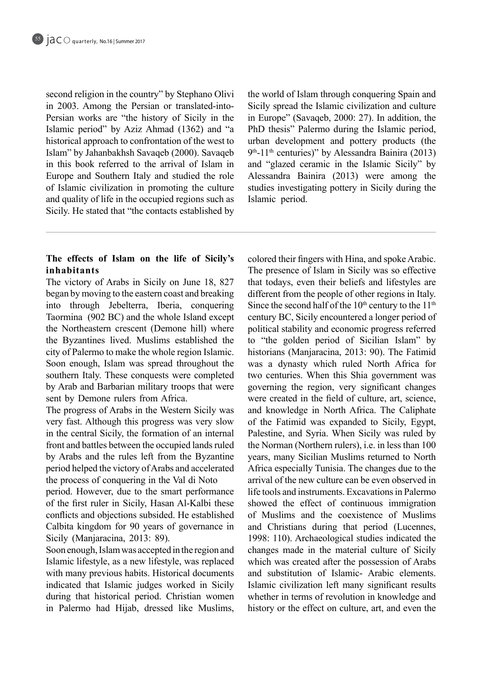second religion in the country" by Stephano Olivi Persian works are "the history of Sicily in the in 2003. Among the Persian or translated-into-Islamic period" by Aziz Ahmad (1362) and "a historical approach to confrontation of the west to Islam" by Jahanbakhsh Savaqeb (2000). Savaqeb in this book referred to the arrival of Islam in Europe and Southern Italy and studied the role of Islamic civilization in promoting the culture and quality of life in the occupied regions such as Sicily. He stated that "the contacts established by the world of Islam through conquering Spain and Sicily spread the Islamic civilization and culture in Europe" (Savaqeb,  $2000: 27$ ). In addition, the PhD thesis" Palermo during the Islamic period, urban development and pottery products (the  $9<sup>th</sup>$ -11<sup>th</sup> centuries)" by Alessandra Bainira (2013) and "glazed ceramic in the Islamic Sicily" by Alessandra Bainira  $(2013)$  were among the studies investigating pottery in Sicily during the Islamic period.

# The effects of Islam on the life of Sicily's **inhabitants**

The victory of Arabs in Sicily on June 18, 827 began by moving to the eastern coast and breaking into through Jebelterra, Iberia, conquering Taormina (902 BC) and the whole Island except the Northeastern crescent (Demone hill) where the Byzantines lived. Muslims established the city of Palermo to make the whole region Islamic. Soon enough, Islam was spread throughout the southern Italy. These conquests were completed by Arab and Barbarian military troops that were sent by Demone rulers from Africa.

The progress of Arabs in the Western Sicily was very fast. Although this progress was very slow in the central Sicily, the formation of an internal front and battles between the occupied lands ruled by Arabs and the rules left from the Byzantine period helped the victory of Arabs and accelerated the process of conquering in the Val di Noto

period. However, due to the smart performance of the first ruler in Sicily, Hasan Al-Kalbi these conflicts and objections subsided. He established Calbita kingdom for 90 years of governance in Sicily (Manjaracina, 2013: 89).

Soon enough, Islam was accepted in the region and Islamic lifestyle, as a new lifestyle, was replaced with many previous habits. Historical documents indicated that Islamic judges worked in Sicily during that historical period. Christian women in Palermo had Hijab, dressed like Muslims,

colored their fingers with Hina, and spoke Arabic. The presence of Islam in Sicily was so effective that todays, even their beliefs and lifestyles are different from the people of other regions in Italy. Since the second half of the  $10<sup>th</sup>$  century to the  $11<sup>th</sup>$ century BC, Sicily encountered a longer period of political stability and economic progress referred to "the golden period of Sicilian Islam" by historians (Manjaracina, 2013: 90). The Fatimid was a dynasty which ruled North Africa for two centuries. When this Shia government was governing the region, very significant changes were created in the field of culture, art, science, and knowledge in North Africa. The Caliphate of the Fatimid was expanded to Sicily, Egypt, Palestine, and Syria. When Sicily was ruled by the Norman (Northern rulers), i.e. in less than 100 years, many Sicilian Muslims returned to North Africa especially Tunisia. The changes due to the arrival of the new culture can be even observed in life tools and instruments. Excavations in Palermo showed the effect of continuous immigration of Muslims and the coexistence of Muslims and Christians during that period (Lucennes, 1998: 110). Archaeological studies indicated the changes made in the material culture of Sicily which was created after the possession of Arabs and substitution of Islamic- Arabic elements. Islamic civilization left many significant results whether in terms of revolution in knowledge and history or the effect on culture, art, and even the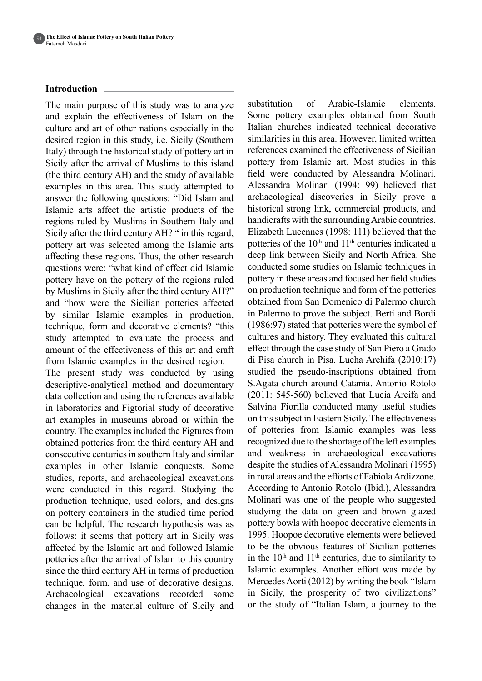## **Introduction**

The main purpose of this study was to analyze and explain the effectiveness of Islam on the culture and art of other nations especially in the desired region in this study, i.e. Sicily (Southern Italy) through the historical study of pottery art in Sicily after the arrival of Muslims to this island (the third century  $AH$ ) and the study of available examples in this area. This study attempted to answer the following questions: "Did Islam and Islamic arts affect the artistic products of the regions ruled by Muslims in Southern Italy and Sicily after the third century AH? " in this regard, pottery art was selected among the Islamic arts affecting these regions. Thus, the other research questions were: "what kind of effect did Islamic pottery have on the pottery of the regions ruled by Muslims in Sicily after the third century AH?" and "how were the Sicilian potteries affected by similar Islamic examples in production, technique, form and decorative elements? "this study attempted to evaluate the process and amount of the effectiveness of this art and craft from Islamic examples in the desired region.

The present study was conducted by using descriptive-analytical method and documentary data collection and using the references available in laboratories and Figtorial study of decorative art examples in museums abroad or within the country. The examples included the Figtures from obtained potteries from the third century AH and consecutive centuries in southern Italy and similar examples in other Islamic conquests. Some studies, reports, and archaeological excavations were conducted in this regard. Studying the production technique, used colors, and designs on pottery containers in the studied time period can be helpful. The research hypothesis was as follows: it seems that pottery art in Sicily was affected by the Islamic art and followed Islamic potteries after the arrival of Islam to this country since the third century AH in terms of production technique, form, and use of decorative designs. Archaeological excavations recorded some changes in the material culture of Sicily and substitution of Arabic-Islamic elements. Some pottery examples obtained from South Italian churches indicated technical decorative similarities in this area. However, limited written references examined the effectiveness of Sicilian pottery from Islamic art. Most studies in this field were conducted by Alessandra Molinari. Alessandra Molinari (1994: 99) believed that archaeological discoveries in Sicily prove a historical strong link, commercial products, and handicrafts with the surrounding Arabic countries. Elizabeth Lucennes (1998: 111) believed that the potteries of the  $10<sup>th</sup>$  and  $11<sup>th</sup>$  centuries indicated a deep link between Sicily and North Africa. She conducted some studies on Islamic techniques in pottery in these areas and focused her field studies on production technique and form of the potteries obtained from San Domenico di Palermo church in Palermo to prove the subject. Berti and Bordi  $(1986:97)$  stated that potteries were the symbol of cultures and history. They evaluated this cultural effect through the case study of San Piero a Grado di Pisa church in Pisa. Lucha Archifa  $(2010:17)$ studied the pseudo-inscriptions obtained from S. Agata church around Catania. Antonio Rotolo  $(2011: 545-560)$  believed that Lucia Arcifa and Salvina Fiorilla conducted many useful studies on this subject in Eastern Sicily. The effectiveness of potteries from Islamic examples was less recognized due to the shortage of the left examples and weakness in archaeological excavations despite the studies of Alessandra Molinari (1995) in rural areas and the efforts of Fabiola Ardizzone. According to Antonio Rotolo (Ibid.), Alessandra Molinari was one of the people who suggested studying the data on green and brown glazed pottery bowls with hoopoe decorative elements in 1995. Hoopoe decorative elements were believed to be the obvious features of Sicilian potteries in the  $10<sup>th</sup>$  and  $11<sup>th</sup>$  centuries, due to similarity to Islamic examples. Another effort was made by Mercedes Aorti  $(2012)$  by writing the book "Islam" in Sicily, the prosperity of two civilizations" or the study of "Italian Islam, a journey to the